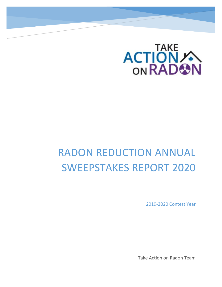

# RADON REDUCTION ANNUAL SWEEPSTAKES REPORT 2020

2019-2020 Contest Year

Take Action on Radon Team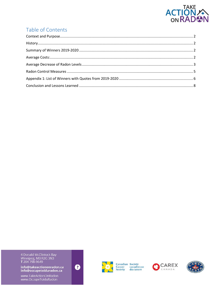

# Table of Contents

4 Donald McClintock Bay<br>Winnipeg, MB R2G 3N3<br>**T** 204 798-9649

info@takeactiononradon.ca<br>info@occupetoiduradon.ca

www.TakeActionOnRadon<br>www.OccupeToiduRadon





**Canadian Société<br>Cancer canadienne<br>Society du cancer** 



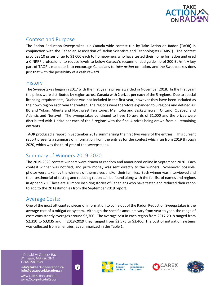

# <span id="page-2-0"></span>Context and Purpose

The Radon Reduction Sweepstakes is a Canada-wide contest run by Take Action on Radon (TAOR) in conjunction with the Canadian Association of Radon Scientists and Technologists (CARST). The contest provides 10 prizes of up to \$1,000 each to homeowners who have tested their home for radon and used a C-NRPP professional to reduce levels to below Canada's recommended guideline of 200 Bq/m<sup>3</sup>. A key part of TAOR's mandate is to encourage Canadians to *take action* on radon*,* and the Sweepstakes does just that with the possibility of a cash reward.

## <span id="page-2-1"></span>**History**

The Sweepstakes began in 2017 with the first year's prizes awarded in November 2018. In the first year, the prizes were distributed by region across Canada with 2 prizes per each of the 5 regions. Due to special licencing requirements, Quebec was not included in the first year, however they have been included as their own region each year thereafter. The regions were therefore expanded to 6 regions and defined as: BC and Yukon; Alberta and Northwest Territories; Manitoba and Saskatchewan; Ontario; Quebec; and Atlantic and Nunavut. The sweepstakes continued to have 10 awards of \$1,000 and the prizes were distributed with 1 prize per each of the 6 regions with the final 4 prizes being drawn from all remaining entrants.

TAOR produced a report in September 2019 summarizing the first two years of the entries. This current report presents a summary of information from the entries for the contest which ran from 2019 through 2020, which was the third year of the sweepstakes.

# <span id="page-2-2"></span>Summary of Winners 2019-2020

The 2019-2020 contest winners were drawn at random and announced online in September 2020. Each contest winner was notified, and prize money was sent directly to the winners. Whenever possible, photos were taken by the winners of themselves and/or their families. Each winner was interviewed and their testimonial of testing and reducing radon can be found along with the full list of names and regions in Appendix 1. These are 10 more inspiring stories of Canadians who have tested and reduced their radon to add to the 20 testimonies from the September 2019 report.

# <span id="page-2-3"></span>Average Costs:

One of the most oft-quoted pieces of information to come out of the Radon Reduction Sweepstakes is the average cost of a mitigation system. Although the specific amounts vary from year to year, the range of costs consistently averages around \$2,700. The average cost in each region from 2017-2018 ranged from \$2,310 to \$3,035 and in 2018-2019 they ranged from \$2,575 to \$3,466. The cost of mitigation systems was collected from all entries, as summarized in the Table 1.

4 Donald McClintock Bay Winnipeg, MB R2G 3N3<br>T 204 798-9649

info@takeactiononradon.ca info@occupetoiduradon.ca

www.TakeActionOnRadon www.OccupeToiduRadon







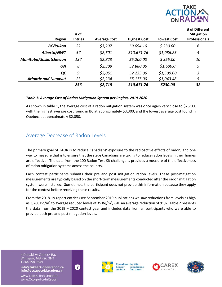

|                             | # of           |                     |                     |                    | # of Different<br><b>Mitigation</b> |
|-----------------------------|----------------|---------------------|---------------------|--------------------|-------------------------------------|
| Region                      | <b>Entries</b> | <b>Average Cost</b> | <b>Highest Cost</b> | <b>Lowest Cost</b> | <b>Professionals</b>                |
| BC/Yukon                    | 22             | \$3,297             | \$9,094.10          | \$230.00           | 6                                   |
| Alberta/NWT                 | 57             | \$2,601             | \$10,671.76         | \$1,086.25         | 4                                   |
| Manitoba/Saskatchewan       | 137            | \$2,823             | \$5,200.00          | \$355.00           | 10                                  |
| ON.                         | 8              | \$2,309             | \$2,880.00          | \$1,600.0          | 5                                   |
| QC                          | 9              | \$2,051             | \$2,235.00          | \$1,500.00         | 3                                   |
| <b>Atlantic and Nunavut</b> | 23             | \$2,234             | \$5,175.00          | \$1,043.48         | 5                                   |
|                             | 256            | \$2,718             | \$10,671.76         | \$230.00           | 32                                  |

#### *Table 1: Average Cost of Radon Mitigation System per Region, 2019-2020*

As shown in table 1, the average cost of a radon mitigation system was once again very close to \$2,700, with the highest average cost found in BC at approximately \$3,300, and the lowest average cost found in Quebec, at approximately \$2,050.

## <span id="page-3-0"></span>Average Decrease of Radon Levels

The primary goal of TAOR is to reduce Canadians' exposure to the radioactive effects of radon, and one way to measure that is to ensure that the steps Canadians are taking to reduce radon levels in their homes are effective. The data from the 100 Radon Test Kit challenge is provides a measure of the effectiveness of radon mitigation systems across the country.

Each contest participants submits their pre and post mitigation radon levels. These post-mitigation measurements are typically based on the short-term measurements conducted after the radon mitigation system were installed. Sometimes, the participant does not provide this information because they apply for the contest before receiving these results.

From the 2018-19 report entries (see September 2019 publication) we saw reductions from levels as high as 3,700 Bq/m<sup>3</sup> to average reduced levels of 35 Bq/m<sup>3</sup>, with an average reduction of 91%. Table 2 presents the data from the 2019 – 2020 contest year and includes data from all participants who were able to provide both pre and post mitigation levels.

4 Donald McClintock Bay Winnipeg, MB R2G 3N3<br>T 204 798-9649

info@takeactiononradon.ca info@occupetoiduradon.ca

www.TakeActionOnRadon www.OccupeToiduRadon







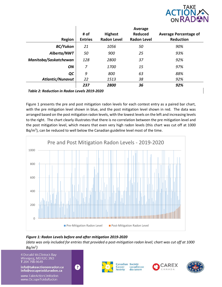

|                         | # of           | <b>Highest</b>     | Average<br><b>Reduced</b> | <b>Average Percentage of</b> |
|-------------------------|----------------|--------------------|---------------------------|------------------------------|
| <b>Region</b>           | <b>Entries</b> | <b>Radon Level</b> | <b>Radon Level</b>        | <b>Reduction</b>             |
| <b>BC/Yukon</b>         | 21             | 1056               | 50                        | 90%                          |
| Alberta/NWT             | 50             | 900                | 25                        | 93%                          |
| Manitoba/Saskatchewan   | 128            | 2800               | 37                        | 92%                          |
| ON                      | 7              | 1700               | 15                        | 97%                          |
| QC                      | 9              | 800                | 63                        | 88%                          |
| <b>Atlantic/Nunavut</b> | 22             | 1513               | 38                        | 92%                          |
|                         | 237            | 2800               | 36                        | 92%                          |

*Table 2: Reduction in Radon Levels 2019-2020*

Figure 1 presents the pre and post mitigation radon levels for each contest entry as a paired bar chart, with the pre mitigation level shown in blue, and the post mitigation level shown in red. The data was arranged based on the post mitigation radon levels, with the lowest levels on the left and increasing levels to the right. The chart clearly illustrates that there is no correlation between the pre mitigation level and the post mitigation level, which means that even very high radon levels (this chart was cut off at 1000 Bq/m<sup>3</sup>), can be reduced to well below the Canadian guideline level most of the time.



#### *Figure 1: Radon Levels before and after mitigation 2019-2020*

*(data was only included for entries that provided a post-mitigation radon level; chart was cut off at 1000 Bq/m<sup>3</sup> )*

4 Donald McClintock Bay Winnipeg, MB R2G 3N3<br>T 204 798-9649

info@takeactiononradon.ca info@occupetoiduradon.ca

www.TakeActionOnRadon www.OccupeToiduRadon





Canadian Société canadienne Cancer Society du cancer



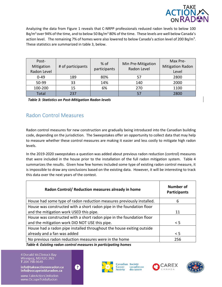

Analyzing the data from Figure 1 reveals that C-NRPP professionals reduced radon levels to below 100 Bq/m<sup>3</sup> over 94% of the time, and to below 50 Bq/m<sup>3</sup> 80% of the time. These levels are well below Canada's action level. The remaining 7% of homes were also lowered to below Canada's action level of 200 Bq/m<sup>3</sup>. These statistics are summarized in table 3, below.

| Post-<br>Mitigation<br>Radon Level | # of participants | $%$ of<br>participants | Min Pre-Mitigation<br>Radon Level | Max Pre-<br><b>Mitigation Radon</b><br>Level |
|------------------------------------|-------------------|------------------------|-----------------------------------|----------------------------------------------|
| $0 - 49$                           | 189               | 80%                    | 57                                | 2800                                         |
| 50-99                              | 33                | 14%                    | 140                               | 2000                                         |
| 100-200                            | 15                | 6%                     | 270                               | 1100                                         |
| Total                              | 237               |                        | 57                                | 2800                                         |

*Table 3: Statistics on Post-Mitigation Radon levels*

# <span id="page-5-0"></span>Radon Control Measures

Radon control measures for new construction are gradually being introduced into the Canadian building code, depending on the jurisdiction. The Sweepstakes offer an opportunity to collect data that may help to measure whether these control measures are making it easier and less costly to mitigate high radon levels.

In the 2019-2020 sweepstakes a question was added about previous radon reduction (control) measures that were included in the house prior to the installation of the full radon mitigation system. Table 4 summarizes the results. Given how few homes included some type of existing radon control measure, it is impossible to draw any conclusions based on the existing data. However, it will be interesting to track this data over the next years of the contest.

| Radon Control/ Reduction measures already in home                     | Number of<br><b>Participants</b> |
|-----------------------------------------------------------------------|----------------------------------|
| House had some type of radon reduction measures previously installed. | 6                                |
| House was constructed with a short radon pipe in the foundation floor |                                  |
| and the mitigation work USED this pipe.                               | 11                               |
| House was constructed with a short radon pipe in the foundation floor |                                  |
| and the mitigation work DID NOT USE this pipe.                        | $\leq$ 5                         |
| House had a radon pipe installed throughout the house exiting outside |                                  |
| already and a fan was added                                           | < 5                              |
| No previous radon reduction measures were in the home                 | 256                              |

*Table 4: Existing radon control measures in participating homes*

Ø

4 Donald McClintock Bay Winnipeg, MB R2G 3N3<br>T 204 798-9649

info@takeactiononradon.ca info@occupetoiduradon.ca

www.TakeActionOnRadon www.OccupeToiduRadon





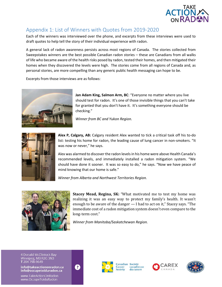

# <span id="page-6-0"></span>Appendix 1: List of Winners with Quotes from 2019-2020

Each of the winners was interviewed over the phone, and excerpts from these interviews were used to draft quotes to help tell the story of their individual experience with radon.

A general lack of radon awareness persists across most regions of Canada. The stories collected from Sweepstakes winners are the best possible Canadian radon stories – these are Canadians from all walks of life who became aware of the health risks posed by radon, tested their homes, and then mitigated their homes when they discovered the levels were high. The stories come from all regions of Canada and, as personal stories, are more compelling than any generic public health messaging can hope to be.

Excerpts from those interviews are as follows:



**Jan Adam King, Salmon Arm, BC**: "Everyone no matter where you live should test for radon. It's one of those invisible things that you can't take for granted that you don't have it. It's something everyone should be checking."

*Winner from BC and Yukon Region.*



**Alex P, Calgary, AB:** Calgary resident Alex wanted to tick a critical task off his to-do list: testing his home for radon, the leading cause of lung cancer in non-smokers. "It was now or never," he says.

Alex was alarmed to discover the radon levels in his home were above Health Canada's recommended levels, and immediately installed a radon mitigation system. "We should have done it sooner. It was so easy to do," he says. "Now we have peace of mind knowing that our home is safe."

*Winner from Alberta and Northwest Territories Region.*



**Stacey Mead, Regina, SK:** "What motivated me to test my home was realizing it was an easy way to protect my family's health. It wasn't enough to be aware of the danger — I had to act on it," Stacey says. "The immediate cost of a radon mitigation system doesn't even compare to the long-term cost."

*Winner from Manitoba/Saskatchewan Region.*

4 Donald McClintock Bay Winnipeg, MB R2G 3N3<br>T 204 798-9649

info@takeactiononradon.ca info@occupetoiduradon.ca

www.TakeActionOnRadon www.OccupeToiduRadon









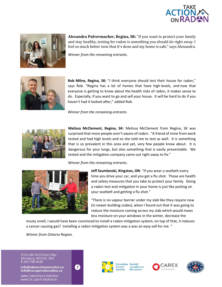



**Alexandra Pulvermacher, Regina, SK:** "If you want to protect your family and stay healthy, testing for radon is something you should do right away. I feel so much better now that it's done and my home is safe," says Alexandra.

*Winner from the remaining entrants.*



**Rob Milne, Regina, SK:** "I think everyone should test their house for radon," says Rob. "Regina has a lot of homes that have high levels, and now that everyone is getting to know about the health risks of radon, it makes sense to do. Especially, if you want to go and sell your house. It will be hard to do if you haven't had it looked after," added Rob.

*Winner from the remaining entrants.*



**Melissa McClement, Regina, SK:** Melissa McClement from Regina, SK was surprised that more people aren't aware of radon. "A friend of mine from work tested and had high levels and so she told me to test as well. It is something that is so prevalent in this area and yet, very few people know about. It is dangerous for your lungs, but also something that is easily preventable. We tested and the mitigation company came out right away to fix."

 *Winner from the remaining entrants.*



**Jeff Szumlanski, Kingston, ON**: "If you wear a seatbelt every time you drive your car, and you get a flu shot. Those are health and safety measures that you take to protect your family. Doing a radon test and mitigation in your home is just like putting on your seatbelt and getting a flu shot."

"There is no vapour barrier under my slab like they require now (in newer building codes), when I found out that it was going to reduce the moisture coming across my slab which would mean less moisture on your windows in the winter, decrease the

musty smell, I would have been convinced to install a radon mitigation system, on top of that, it reduces a cancer causing gas? Installing a radon mitigation system was a was an easy sell for me. "

*Winner from Ontario Region.*

4 Donald McClintock Bay Winnipeg, MB R2G 3N3<br>T 204 798-9649

info@takeactiononradon.ca info@occupetoiduradon.ca

www.TakeActionOnRadon www.OccupeToiduRadon